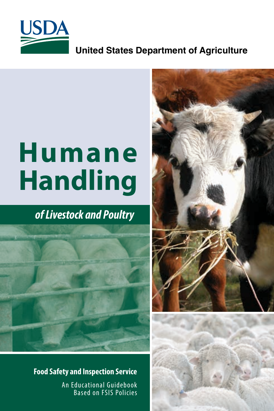

**United States Department of Agriculture**

# **Humane Handling**

### *of Livestock and Poultry*



**Food Safety and Inspection Service**

An Educational Guidebook Based on FSIS Policies



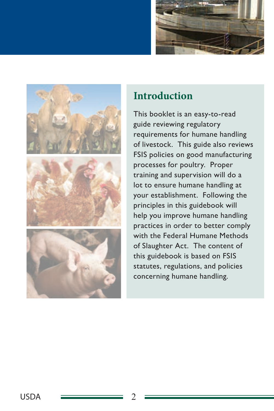



### **Introduction**

This booklet is an easy-to-read guide reviewing regulatory requirements for humane handling of livestock. This guide also reviews FSIS policies on good manufacturing processes for poultry. Proper training and supervision will do a lot to ensure humane handling at your establishment. Following the principles in this guidebook will help you improve humane handling practices in order to better comply with the Federal Humane Methods of Slaughter Act. The content of this guidebook is based on FSIS statutes, regulations, and policies concerning humane handling.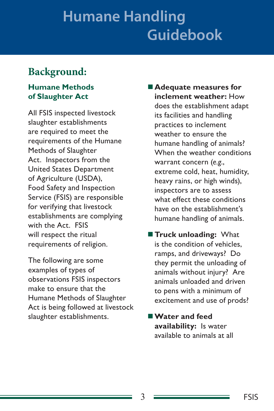### **Background:**

#### **Humane Methods of Slaughter Act**

All FSIS inspected livestock slaughter establishments are required to meet the requirements of the Humane Methods of Slaughter Act. Inspectors from the United States Department of Agriculture (USDA), Food Safety and Inspection Service (FSIS) are responsible for verifying that livestock establishments are complying with the Act. FSIS will respect the ritual requirements of religion.

The following are some examples of types of observations FSIS inspectors make to ensure that the Humane Methods of Slaughter Act is being followed at livestock slaughter establishments.

- humane handling of animals? **Adequate measures for inclement weather:** How does the establishment adapt its facilities and handling practices to inclement weather to ensure the When the weather conditions warrant concern (*e.g*., extreme cold, heat, humidity, heavy rains, or high winds), inspectors are to assess what effect these conditions have on the establishment's humane handling of animals.
- **Truck unloading: What** is the condition of vehicles, ramps, and driveways? Do they permit the unloading of animals without injury? Are animals unloaded and driven to pens with a minimum of excitement and use of prods?

**Water and feed availability:** Is water available to animals at all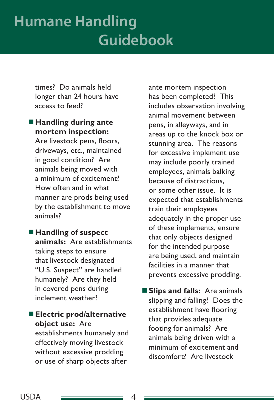times? Do animals held longer than 24 hours have access to feed?

 **mortem inspection: Handling during ante** 

Are livestock pens, floors, driveways, etc., maintained in good condition? Are animals being moved with a minimum of excitement? How often and in what manner are prods being used by the establishment to move animals?

 **Handling of suspect animals:** Are establishments taking steps to ensure that livestock designated "U.S. Suspect" are handled humanely? Are they held in covered pens during inclement weather?

 **Electric prod/alternative object use:** Are establishments humanely and effectively moving livestock without excessive prodding or use of sharp objects after

ante mortem inspection has been completed? This includes observation involving animal movement between pens, in alleyways, and in areas up to the knock box or stunning area. The reasons for excessive implement use may include poorly trained employees, animals balking because of distractions, or some other issue. It is expected that establishments train their employees adequately in the proper use of these implements, ensure that only objects designed for the intended purpose are being used, and maintain facilities in a manner that prevents excessive prodding.

 **Slips and falls:** Are animals slipping and falling? Does the establishment have flooring that provides adequate footing for animals? Are animals being driven with a minimum of excitement and discomfort? Are livestock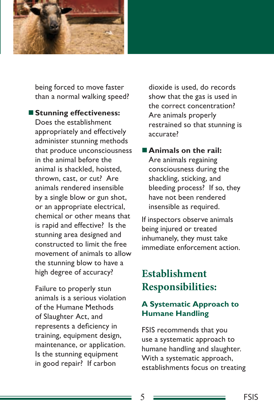

being forced to move faster than a normal walking speed?

 **Stunning effectiveness:** Does the establishment appropriately and effectively administer stunning methods that produce unconsciousness in the animal before the animal is shackled, hoisted, thrown, cast, or cut? Are animals rendered insensible by a single blow or gun shot, or an appropriate electrical, chemical or other means that is rapid and effective? Is the stunning area designed and constructed to limit the free movement of animals to allow the stunning blow to have a high degree of accuracy?

Failure to properly stun animals is a serious violation of the Humane Methods of Slaughter Act, and represents a deficiency in training, equipment design, maintenance, or application. Is the stunning equipment in good repair? If carbon

dioxide is used, do records show that the gas is used in the correct concentration? Are animals properly restrained so that stunning is accurate?

**Animals on the rail:** Are animals regaining consciousness during the shackling, sticking, and bleeding process? If so, they have not been rendered insensible as required.

If inspectors observe animals being injured or treated inhumanely, they must take immediate enforcement action.

### **Establishment Responsibilities:**

#### **A Systematic Approach to Humane Handling**

 humane handling and slaughter. FSIS recommends that you use a systematic approach to With a systematic approach, establishments focus on treating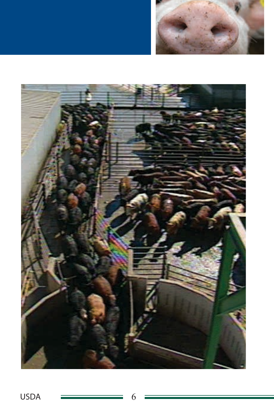

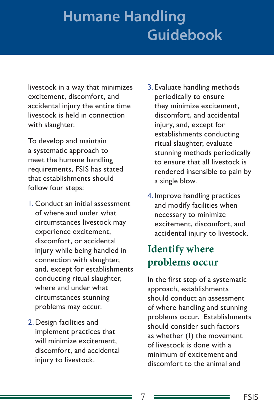livestock in a way that minimizes excitement, discomfort, and accidental injury the entire time livestock is held in connection with slaughter.

To develop and maintain a systematic approach to meet the humane handling requirements, FSIS has stated that establishments should follow four steps:

- 1. Conduct an initial assessment of where and under what circumstances livestock may experience excitement, discomfort, or accidental injury while being handled in connection with slaughter, and, except for establishments conducting ritual slaughter, where and under what circumstances stunning problems may occur.
- 2. Design facilities and implement practices that will minimize excitement, discomfort, and accidental injury to livestock.
- 3. Evaluate handling methods periodically to ensure they minimize excitement, discomfort, and accidental injury, and, except for establishments conducting ritual slaughter, evaluate stunning methods periodically to ensure that all livestock is rendered insensible to pain by a single blow.
- 4. Improve handling practices and modify facilities when necessary to minimize excitement, discomfort, and accidental injury to livestock.

### **Identify where problems occur**

In the first step of a systematic approach, establishments should conduct an assessment of where handling and stunning problems occur. Establishments should consider such factors as whether (1) the movement of livestock is done with a minimum of excitement and discomfort to the animal and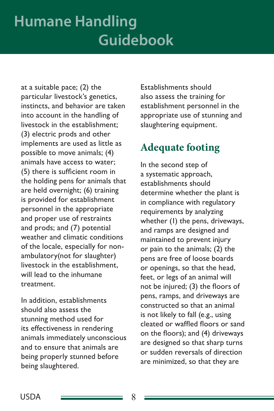at a suitable pace; (2) the particular livestock's genetics, instincts, and behavior are taken into account in the handling of livestock in the establishment; (3) electric prods and other implements are used as little as possible to move animals; (4) animals have access to water; (5) there is sufficient room in the holding pens for animals that are held overnight; (6) training is provided for establishment personnel in the appropriate and proper use of restraints and prods; and (7) potential weather and climatic conditions of the locale, especially for nonambulatory(not for slaughter) livestock in the establishment, will lead to the inhumane treatment.

 animals immediately unconscious In addition, establishments should also assess the stunning method used for its effectiveness in rendering and to ensure that animals are being properly stunned before being slaughtered.

Establishments should also assess the training for establishment personnel in the appropriate use of stunning and slaughtering equipment.

### **Adequate footing**

In the second step of a systematic approach, establishments should determine whether the plant is in compliance with regulatory requirements by analyzing whether (1) the pens, driveways, and ramps are designed and maintained to prevent injury or pain to the animals; (2) the pens are free of loose boards or openings, so that the head, feet, or legs of an animal will not be injured; (3) the floors of pens, ramps, and driveways are constructed so that an animal is not likely to fall (e.g., using cleated or waffled floors or sand on the floors); and (4) driveways are designed so that sharp turns or sudden reversals of direction are minimized, so that they are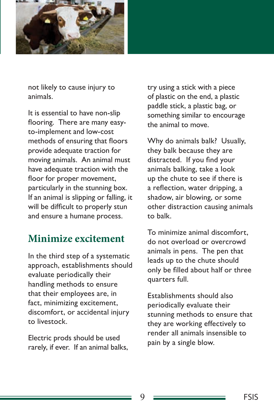

not likely to cause injury to animals.

It is essential to have non-slip flooring. There are many easyto-implement and low-cost methods of ensuring that floors provide adequate traction for moving animals. An animal must have adequate traction with the floor for proper movement, particularly in the stunning box. If an animal is slipping or falling, it will be difficult to properly stun and ensure a humane process.

### **Minimize excitement**

to livestock. In the third step of a systematic approach, establishments should evaluate periodically their handling methods to ensure that their employees are, in fact, minimizing excitement, discomfort, or accidental injury

Electric prods should be used rarely, if ever. If an animal balks,

the animal to move try using a stick with a piece of plastic on the end, a plastic paddle stick, a plastic bag, or something similar to encourage

Why do animals balk? Usually, they balk because they are distracted. If you find your animals balking, take a look up the chute to see if there is a reflection, water dripping, a shadow, air blowing, or some other distraction causing animals to balk.

To minimize animal discomfort, do not overload or overcrowd animals in pens. The pen that leads up to the chute should only be filled about half or three quarters full.

Establishments should also periodically evaluate their stunning methods to ensure that they are working effectively to render all animals insensible to pain by a single blow.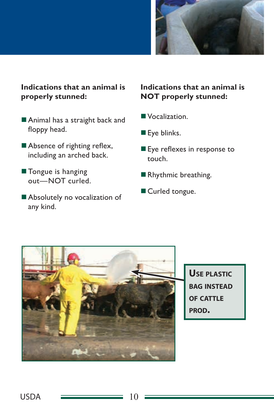

# **Indications that an animal is** Indications that an animal is properly stunned: NOT properly stunned:

- Animal has a straight back and Vocalization. floppy head.  $\blacksquare$  Eye blinks.
- Absence of righting reflex,<br>including an arched back.<br> $\overline{t}$  rouch.
- Tongue is hanging Rhythmic breathing. out—NOT curled.
- Curled tongue. Absolutely no vocalization of any kind.

# **properly stunned: NOT properly stunned:**

- 
- 
- 
- 
- 



 **Use plastic bag instead of cattle prod.**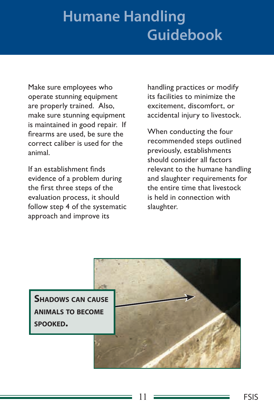Make sure employees who operate stunning equipment are properly trained. Also, make sure stunning equipment is maintained in good repair. If firearms are used, be sure the correct caliber is used for the animal.

If an establishment finds evidence of a problem during the first three steps of the evaluation process, it should follow step 4 of the systematic approach and improve its

handling practices or modify its facilities to minimize the excitement, discomfort, or accidental injury to livestock.

When conducting the four recommended steps outlined previously, establishments should consider all factors relevant to the humane handling and slaughter requirements for the entire time that livestock is held in connection with slaughter.

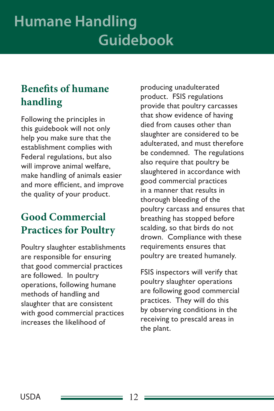### **Benefits of humane handling**

Following the principles in this guidebook will not only help you make sure that the establishment complies with Federal regulations, but also will improve animal welfare, make handling of animals easier and more efficient, and improve the quality of your product.

### **Good Commercial Practices for Poultry**

Poultry slaughter establishments are responsible for ensuring that good commercial practices are followed. In poultry operations, following humane methods of handling and slaughter that are consistent with good commercial practices increases the likelihood of

producing unadulterated product. FSIS regulations provide that poultry carcasses that show evidence of having died from causes other than slaughter are considered to be adulterated, and must therefore be condemned. The regulations also require that poultry be slaughtered in accordance with good commercial practices in a manner that results in thorough bleeding of the poultry carcass and ensures that breathing has stopped before scalding, so that birds do not drown. Compliance with these requirements ensures that poultry are treated humanely.

FSIS inspectors will verify that poultry slaughter operations are following good commercial practices. They will do this by observing conditions in the receiving to prescald areas in the plant.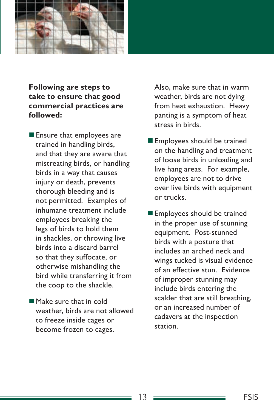

**Following are steps to take to ensure that good commercial practices are followed:** 

- **Ensure that employees are** trained in handling birds, and that they are aware that mistreating birds, or handling birds in a way that causes injury or death, prevents thorough bleeding and is not permitted. Examples of inhumane treatment include employees breaking the legs of birds to hold them in shackles, or throwing live birds into a discard barrel so that they suffocate, or otherwise mishandling the bird while transferring it from the coop to the shackle.
- Make sure that in cold weather, birds are not allowed to freeze inside cages or become frozen to cages.

Also, make sure that in warm weather, birds are not dying from heat exhaustion. Heavy panting is a symptom of heat stress in birds.

- **Employees should be trained** on the handling and treatment of loose birds in unloading and live hang areas. For example, employees are not to drive over live birds with equipment or trucks.
- **Employees should be trained** in the proper use of stunning equipment. Post-stunned birds with a posture that includes an arched neck and wings tucked is visual evidence of an effective stun. Evidence of improper stunning may include birds entering the scalder that are still breathing, or an increased number of cadavers at the inspection station.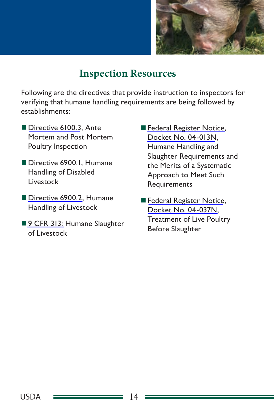

### **Inspection Resources**

Following are the directives that provide instruction to inspectors for verifying that humane handling requirements are being followed by establishments:

- [Directive 6100.3](http://www.fsis.usda.gov/wps/wcm/connect/aa9a2825-5920-4777-8ee9-af963c4c45b9/6100.3Rev1.pdf?MOD=AJPERES), Ante Mortem and Post Mortem Poultry Inspection
- Directive 6900.1, Humane Handling of Disabled Livestock
- [Directive 6900.2,](http://www.fsis.usda.gov/wps/wcm/connect/2375f4d5-0e24-4213-902d-d94ee4ed9394/6900.2.pdf?MOD=AJPERES) Humane Handling of Livestock
- [9 CFR 313:](http://www.gpo.gov/fdsys/pkg/CFR-2015-title9-vol2/xml/CFR-2015-title9-vol2-part313.xml) Humane Slaughter of Livestock
- [Federal Register Notice,](http://www.fsis.usda.gov/wps/wcm/connect/3057b87f-1b34-49ea-8e8d-73414b576e5e/04-013N.pdf?MOD=AJPERES) [Docket No. 04-013N](http://www.fsis.usda.gov/wps/wcm/connect/3057b87f-1b34-49ea-8e8d-73414b576e5e/04-013N.pdf?MOD=AJPERES), Humane Handling and Slaughter Requirements and the Merits of a Systematic Approach to Meet Such Requirements
- [Federal Register Notice](http://www.fsis.usda.gov/wps/wcm/connect/489b58f7-1413-4109-b604-a98b948cd725/04-037N.pdf?MOD=AJPERES), [Docket No. 04-037N,](http://www.fsis.usda.gov/wps/wcm/connect/489b58f7-1413-4109-b604-a98b948cd725/04-037N.pdf?MOD=AJPERES) Treatment of Live Poultry Before Slaughter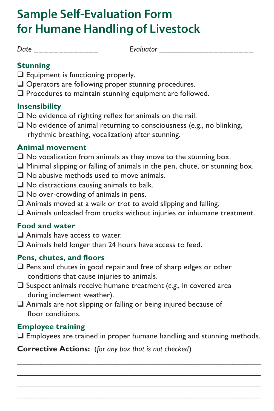### **Sample Self-Evaluation Form for Humane Handling of Livestock**

**Date** *Date Byduator Evaluator* 

### **Stunning**

- $\Box$  Equipment is functioning properly.
- Operators are following proper stunning procedures.
- $\square$  Procedures to maintain stunning equipment are followed.

#### **Insensibility**

- $\Box$  No evidence of righting reflex for animals on the rail.
- $\Box$  No evidence of animal returning to consciousness (e.g., no blinking, rhythmic breathing, vocalization) after stunning.

#### **Animal movement**

- $\Box$  No vocalization from animals as they move to the stunning box.
- $\Box$  Minimal slipping or falling of animals in the pen, chute, or stunning box.
- $\Box$  No abusive methods used to move animals.
- $\Box$  No distractions causing animals to balk.
- $\Box$  No over-crowding of animals in pens.
- Animals moved at a walk or trot to avoid slipping and falling.
- Animals unloaded from trucks without injuries or inhumane treatment.

#### **Food and water**

- $\square$  Animals have access to water.
- Animals held longer than 24 hours have access to feed.

#### **Pens, chutes, and floors**

- $\Box$  Pens and chutes in good repair and free of sharp edges or other conditions that cause injuries to animals.
- Suspect animals receive humane treatment (*e.g.*, in covered area during inclement weather).
- Animals are not slipping or falling or being injured because of floor conditions.

#### **Employee training**

 $\square$  Employees are trained in proper humane handling and stunning methods.

\_\_\_\_\_\_\_\_\_\_\_\_\_\_\_\_\_\_\_\_\_\_\_\_\_\_\_\_\_\_\_\_\_\_\_\_\_\_\_\_\_\_\_\_\_\_\_\_\_\_\_\_ \_\_\_\_\_\_\_\_\_\_\_\_\_\_\_\_\_\_\_\_\_\_\_\_\_\_\_\_\_\_\_\_\_\_\_\_\_\_\_\_\_\_\_\_\_\_\_\_\_\_\_\_ \_\_\_\_\_\_\_\_\_\_\_\_\_\_\_\_\_\_\_\_\_\_\_\_\_\_\_\_\_\_\_\_\_\_\_\_\_\_\_\_\_\_\_\_\_\_\_\_\_\_\_\_ \_\_\_\_\_\_\_\_\_\_\_\_\_\_\_\_\_\_\_\_\_\_\_\_\_\_\_\_\_\_\_\_\_\_\_\_\_\_\_\_\_\_\_\_\_\_\_\_\_\_\_\_

**Corrective Actions:** (*for any box that is not checked*)